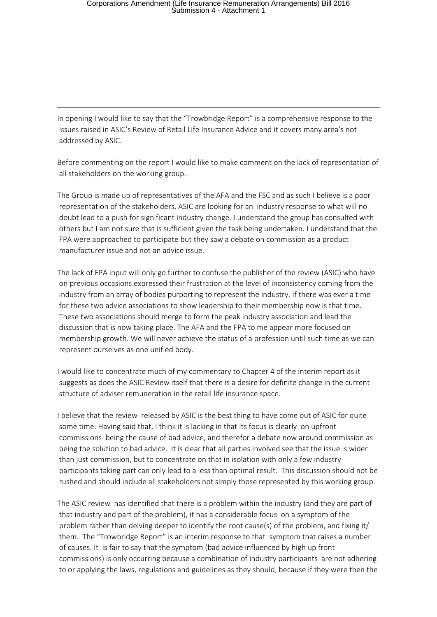In opening I would like to say that the "Trowbridge Report" is a comprehensive response to the issues raised in ASIC's Review of Retail Life Insurance Advice and it covers many area's not addressed by ASIC.

Before commenting on the report I would like to make comment on the lack of representation of all stakeholders on the working group.

The Group is made up of representatives of the AFA and the FSC and as such I believe is a poor representation of the stakeholders. ASIC are looking for an industry response to what will no doubt lead to a push for significant industry change. I understand the group has consulted with others but I am not sure that is sufficient given the task being undertaken. I understand that the FPA were approached to participate but they saw a debate on commission as a product manufacturer issue and not an advice issue.

The lack of FPA input will only go further to confuse the publisher of the review (ASIC) who have on previous occasions expressed their frustration at the level of inconsistency coming from the industry from an array of bodies purporting to represent the industry. If there was ever a time for these two advice associations to show leadership to their membership now is that time. These two associations should merge to form the peak industry association and lead the discussion that is now taking place. The AFA and the FPA to me appear more focused on membership growth. We will never achieve the status of a profession until such time as we can represent ourselves as one unified body.

I would like to concentrate much of my commentary to Chapter 4 of the interim report as it suggests as does the ASIC Review itself that there is a desire for definite change in the current structure of adviser remuneration in the retail life insurance space.

I believe that the review released by ASIC is the best thing to have come out of ASIC for quite some time. Having said that, I think it is lacking in that its focus is clearly on upfront commissions being the cause of bad advice, and therefor a debate now around commission as being the solution to bad advice. It is clear that all parties involved see that the issue is wider than just commission, but to concentrate on that in isolation with only a few industry participants taking part can only lead to a less than optimal result. This discussion should not be rushed and should include all stakeholders not simply those represented by this working group.

The ASIC review has identified that there is a problem within the industry (and they are part of that industry and part of the problem), it has a considerable focus on a symptom of the problem rather than delving deeper to identify the root cause(s) of the problem, and fixing it/ them. The "Trowbridge Report" is an interim response to that symptom that raises a number of causes. It is fair to say that the symptom (bad advice influenced by high up front commissions) is only occurring because a combination of industry participants are not adhering to or applying the laws, regulations and guidelines as they should, because if they were then the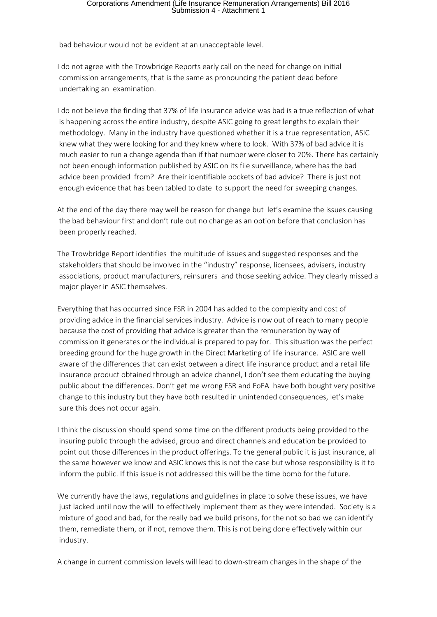bad behaviour would not be evident at an unacceptable level.

I do not agree with the Trowbridge Reports early call on the need for change on initial commission arrangements, that is the same as pronouncing the patient dead before undertaking an examination.

I do not believe the finding that 37% of life insurance advice was bad is a true reflection of what is happening across the entire industry, despite ASIC going to great lengths to explain their methodology. Many in the industry have questioned whether it is a true representation, ASIC knew what they were looking for and they knew where to look. With 37% of bad advice it is much easier to run a change agenda than if that number were closer to 20%. There has certainly not been enough information published by ASIC on its file surveillance, where has the bad advice been provided from? Are their identifiable pockets of bad advice? There is just not enough evidence that has been tabled to date to support the need for sweeping changes.

At the end of the day there may well be reason for change but let's examine the issues causing the bad behaviour first and don't rule out no change as an option before that conclusion has been properly reached.

The Trowbridge Report identifies the multitude of issues and suggested responses and the stakeholders that should be involved in the "industry" response, licensees, advisers, industry associations, product manufacturers, reinsurers and those seeking advice. They clearly missed a major player in ASIC themselves.

Everything that has occurred since FSR in 2004 has added to the complexity and cost of providing advice in the financial services industry. Advice is now out of reach to many people because the cost of providing that advice is greater than the remuneration by way of commission it generates or the individual is prepared to pay for. This situation was the perfect breeding ground for the huge growth in the Direct Marketing of life insurance. ASIC are well aware of the differences that can exist between a direct life insurance product and a retail life insurance product obtained through an advice channel, I don't see them educating the buying public about the differences. Don't get me wrong FSR and FoFA have both bought very positive change to this industry but they have both resulted in unintended consequences, let's make sure this does not occur again.

I think the discussion should spend some time on the different products being provided to the insuring public through the advised, group and direct channels and education be provided to point out those differences in the product offerings. To the general public it is just insurance, all the same however we know and ASIC knows this is not the case but whose responsibility is it to inform the public. If this issue is not addressed this will be the time bomb for the future.

We currently have the laws, regulations and guidelines in place to solve these issues, we have just lacked until now the will to effectively implement them as they were intended. Society is a mixture of good and bad, for the really bad we build prisons, for the not so bad we can identify them, remediate them, or if not, remove them. This is not being done effectively within our industry.

A change in current commission levels will lead to down-stream changes in the shape of the